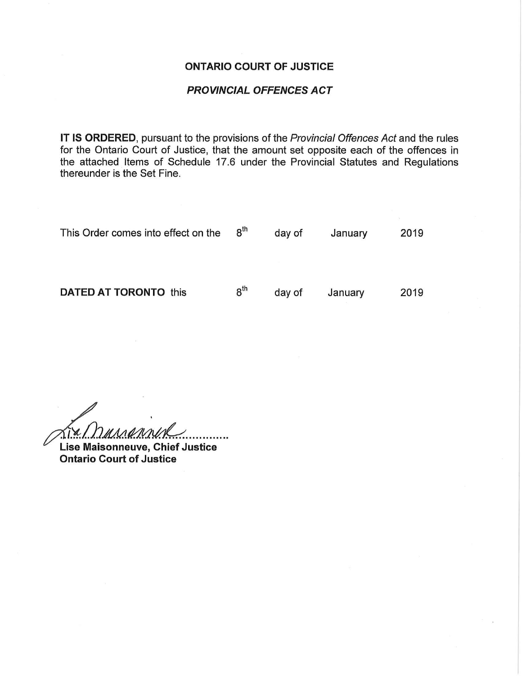## ONTARIO COURT OF JUSTICE

## PROVINCIAL OFFENCES ACT

IT IS ORDERED, pursuant to the provisions of the Provincial Offences Act and the rules for the Ontario Court of Justice, that the amount set opposite each of the offences in the attached Items of Schedule 17.6 under the Provincial Statutes and Regulations thereunder is the Set Fine.

| This Order comes into effect on the | $8^{\sf th}$ | day of | January | 2019 |
|-------------------------------------|--------------|--------|---------|------|
|                                     |              |        |         |      |
| <b>DATED AT TORONTO this</b>        | $8^{\sf th}$ | day of | January | 2019 |

 $\lambda$  $\alpha$ . Dament

Lise Maisonneuve, Chief Justice Ontario Court of Justice